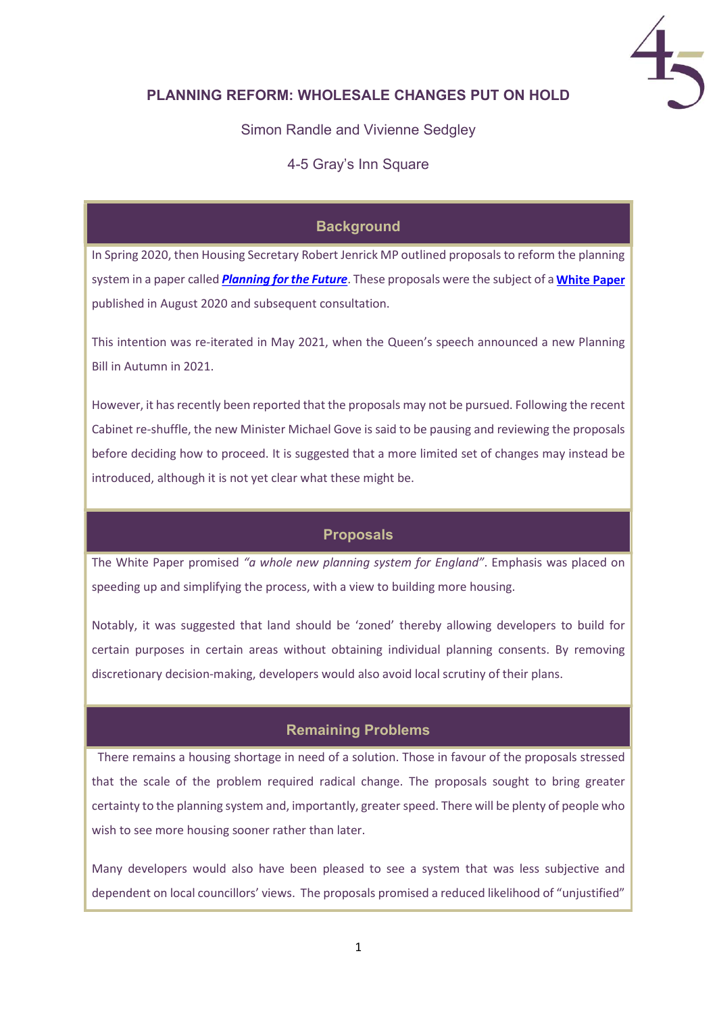

## PLANNING REFORM: WHOLESALE CHANGES PUT ON HOLD

Simon Randle and Vivienne Sedgley

4-5 Gray's Inn Square

# **Background**

In Spring 2020, then Housing Secretary Robert Jenrick MP outlined proposals to reform the planning system in a paper called <mark>*Planning for the Future*. These proposals were the subject of a <mark>[White Paper](https://assets.publishing.service.gov.uk/government/uploads/system/uploads/attachment_data/file/958420/MHCLG-Planning-Consultation.pdf)</mark></mark> published in August 2020 and subsequent consultation.

This intention was re-iterated in May 2021, when the Queen's speech announced a new Planning Bill in Autumn in 2021.

However, it has recently been reported that the proposals may not be pursued. Following the recent Cabinet re-shuffle, the new Minister Michael Gove is said to be pausing and reviewing the proposals before deciding how to proceed. It is suggested that a more limited set of changes may instead be introduced, although it is not yet clear what these might be.

#### Proposals

The White Paper promised "a whole new planning system for England". Emphasis was placed on speeding up and simplifying the process, with a view to building more housing.

Notably, it was suggested that land should be 'zoned' thereby allowing developers to build for certain purposes in certain areas without obtaining individual planning consents. By removing discretionary decision-making, developers would also avoid local scrutiny of their plans.

## Remaining Problems

There remains a housing shortage in need of a solution. Those in favour of the proposals stressed that the scale of the problem required radical change. The proposals sought to bring greater certainty to the planning system and, importantly, greater speed. There will be plenty of people who wish to see more housing sooner rather than later.

Many developers would also have been pleased to see a system that was less subjective and dependent on local councillors' views. The proposals promised a reduced likelihood of "unjustified"